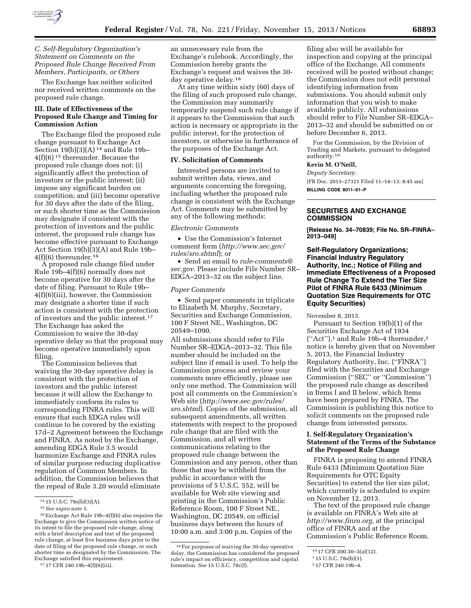

*C. Self-Regulatory Organization's Statement on Comments on the Proposed Rule Change Received From Members, Participants, or Others* 

The Exchange has neither solicited nor received written comments on the proposed rule change.

## **III. Date of Effectiveness of the Proposed Rule Change and Timing for Commission Action**

The Exchange filed the proposed rule change pursuant to Exchange Act Section  $19(b)(3)(A)$ <sup>14</sup> and Rule 19b-4(f)(6) 15 thereunder. Because the proposed rule change does not: (i) significantly affect the protection of investors or the public interest; (ii) impose any significant burden on competition; and (iii) become operative for 30 days after the date of the filing, or such shorter time as the Commission may designate if consistent with the protection of investors and the public interest, the proposed rule change has become effective pursuant to Exchange Act Section 19(b)(3)(A) and Rule 19b–  $4(f)(6)$  thereunder.<sup>16</sup>

A proposed rule change filed under Rule 19b–4(f)(6) normally does not become operative for 30 days after the date of filing. Pursuant to Rule 19b– 4(f)(6)(iii), however, the Commission may designate a shorter time if such action is consistent with the protection of investors and the public interest.17 The Exchange has asked the Commission to waive the 30-day operative delay so that the proposal may become operative immediately upon filing.

The Commission believes that waiving the 30-day operative delay is consistent with the protection of investors and the public interest because it will allow the Exchange to immediately conform its rules to corresponding FINRA rules. This will ensure that such EDGA rules will continue to be covered by the existing 17d–2 Agreement between the Exchange and FINRA. As noted by the Exchange, amending EDGA Rule 3.5 would harmonize Exchange and FINRA rules of similar purpose reducing duplicative regulation of Common Members. In addition, the Commission believes that the repeal of Rule 3.20 would eliminate

an unnecessary rule from the Exchange's rulebook. Accordingly, the Commission hereby grants the Exchange's request and waives the 30 day operative delay.18

At any time within sixty (60) days of the filing of such proposed rule change, the Commission may summarily temporarily suspend such rule change if it appears to the Commission that such action is necessary or appropriate in the public interest, for the protection of investors, or otherwise in furtherance of the purposes of the Exchange Act.

#### **IV. Solicitation of Comments**

Interested persons are invited to submit written data, views, and arguments concerning the foregoing, including whether the proposed rule change is consistent with the Exchange Act. Comments may be submitted by any of the following methods:

#### *Electronic Comments*

• Use the Commission's Internet comment form (*[http://www.sec.gov/](http://www.sec.gov/rules/sro.shtml) [rules/sro.shtml](http://www.sec.gov/rules/sro.shtml)*); or

• Send an email to *[rule-comments@](mailto:rule-comments@sec.gov) [sec.gov](mailto:rule-comments@sec.gov)*. Please include File Number SR– EDGA–2013–32 on the subject line.

### *Paper Comments*

• Send paper comments in triplicate to Elizabeth M. Murphy, Secretary, Securities and Exchange Commission, 100 F Street NE., Washington, DC 20549–1090.

All submissions should refer to File Number SR–EDGA–2013–32. This file number should be included on the subject line if email is used. To help the Commission process and review your comments more efficiently, please use only one method. The Commission will post all comments on the Commission's Web site (*[http://www.sec.gov/rules/](http://www.sec.gov/rules/sro.shtml) [sro.shtml](http://www.sec.gov/rules/sro.shtml)*). Copies of the submission, all subsequent amendments, all written statements with respect to the proposed rule change that are filed with the Commission, and all written communications relating to the proposed rule change between the Commission and any person, other than those that may be withheld from the public in accordance with the provisions of 5 U.S.C. 552, will be available for Web site viewing and printing in the Commission's Public Reference Room, 100 F Street NE., Washington, DC 20549, on official business days between the hours of 10:00 a.m. and 3:00 p.m. Copies of the

filing also will be available for inspection and copying at the principal office of the Exchange. All comments received will be posted without change; the Commission does not edit personal identifying information from submissions. You should submit only information that you wish to make available publicly. All submissions should refer to File Number SR–EDGA– 2013–32 and should be submitted on or before December 6, 2013.

For the Commission, by the Division of Trading and Markets, pursuant to delegated authority.19

# **Kevin M. O'Neill,**

*Deputy Secretary.*  [FR Doc. 2013–27321 Filed 11–14–13; 8:45 am] **BILLING CODE 8011–01–P** 

### **SECURITIES AND EXCHANGE COMMISSION**

**[Release No. 34–70839; File No. SR–FINRA– 2013–049]** 

**Self-Regulatory Organizations; Financial Industry Regulatory Authority, Inc.; Notice of Filing and Immediate Effectiveness of a Proposed Rule Change To Extend the Tier Size Pilot of FINRA Rule 6433 (Minimum Quotation Size Requirements for OTC Equity Securities)** 

November 8, 2013.

Pursuant to Section 19(b)(1) of the Securities Exchange Act of 1934 (''Act''),1 and Rule 19b–4 thereunder,2 notice is hereby given that on November 5, 2013, the Financial Industry Regulatory Authority, Inc. (''FINRA'') filed with the Securities and Exchange Commission (''SEC'' or ''Commission'') the proposed rule change as described in Items I and II below, which Items have been prepared by FINRA. The Commission is publishing this notice to solicit comments on the proposed rule change from interested persons.

### **I. Self-Regulatory Organization's Statement of the Terms of the Substance of the Proposed Rule Change**

FINRA is proposing to amend FINRA Rule 6433 (Minimum Quotation Size Requirements for OTC Equity Securities) to extend the tier size pilot, which currently is scheduled to expire on November 12, 2013.

The text of the proposed rule change is available on FINRA's Web site at *[http://www.finra.org,](http://www.finra.org)* at the principal office of FINRA and at the Commission's Public Reference Room.

<sup>14</sup> 15 U.S.C. 78s(b)(3)(A).

<sup>15</sup>*See supra* note 3.

<sup>16</sup>Exchange Act Rule 19b–4(f)(6) also requires the Exchange to give the Commission written notice of its intent to file the proposed rule change, along with a brief description and text of the proposed rule change, at least five business days prior to the date of filing of the proposed rule change, or such shorter time as designated by the Commission. The Exchange satisfied this requirement.

<sup>17</sup> 17 CFR 240.19b–4(f)(6)(iii).

<sup>18</sup>For purposes of waiving the 30-day operative delay, the Commission has considered the proposed rule's impact on efficiency, competition and capital formation. *See* 15 U.S.C. 78c(f).

<sup>19</sup> 17 CFR 200.30–3(a)(12).

<sup>1</sup> 15 U.S.C. 78s(b)(1).

<sup>2</sup> 17 CFR 240.19b–4.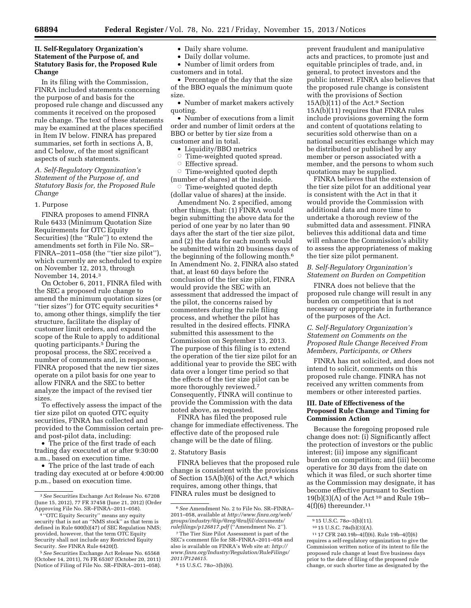## **II. Self-Regulatory Organization's Statement of the Purpose of, and Statutory Basis for, the Proposed Rule Change**

In its filing with the Commission, FINRA included statements concerning the purpose of and basis for the proposed rule change and discussed any comments it received on the proposed rule change. The text of these statements may be examined at the places specified in Item IV below. FINRA has prepared summaries, set forth in sections A, B, and C below, of the most significant aspects of such statements.

### *A. Self-Regulatory Organization's Statement of the Purpose of, and Statutory Basis for, the Proposed Rule Change*

### 1. Purpose

FINRA proposes to amend FINRA Rule 6433 (Minimum Quotation Size Requirements for OTC Equity Securities) (the ''Rule'') to extend the amendments set forth in File No. SR– FINRA–2011–058 (the "tier size pilot"), which currently are scheduled to expire on November 12, 2013, through November 14, 2014.3

On October 6, 2011, FINRA filed with the SEC a proposed rule change to amend the minimum quotation sizes (or ''tier sizes'') for OTC equity securities 4 to, among other things, simplify the tier structure, facilitate the display of customer limit orders, and expand the scope of the Rule to apply to additional quoting participants.5 During the proposal process, the SEC received a number of comments and, in response, FINRA proposed that the new tier sizes operate on a pilot basis for one year to allow FINRA and the SEC to better analyze the impact of the revised tier sizes.

To effectively assess the impact of the tier size pilot on quoted OTC equity securities, FINRA has collected and provided to the Commission certain preand post-pilot data, including:

• The price of the first trade of each trading day executed at or after 9:30:00 a.m., based on execution time.

• The price of the last trade of each trading day executed at or before 4:00:00 p.m., based on execution time.

- Daily share volume.
- Daily dollar volume.
- Number of limit orders from customers and in total.

• Percentage of the day that the size of the BBO equals the minimum quote size.

• Number of market makers actively quoting.

• Number of executions from a limit order and number of limit orders at the BBO or better by tier size from a customer and in total.

- Liquidity/BBO metrics
- $\circ$  Time-weighted quoted spread.
- $\circ$  Effective spread.

 $\circ$  Time-weighted quoted depth (number of shares) at the inside.

 $\circ$  Time-weighted quoted depth (dollar value of shares) at the inside.

Amendment No. 2 specified, among other things, that: (1) FINRA would begin submitting the above data for the period of one year by no later than 90 days after the start of the tier size pilot, and (2) the data for each month would be submitted within 20 business days of the beginning of the following month.6 In Amendment No. 2, FINRA also stated that, at least 60 days before the conclusion of the tier size pilot, FINRA would provide the SEC with an assessment that addressed the impact of the pilot, the concerns raised by commenters during the rule filing process, and whether the pilot has resulted in the desired effects. FINRA submitted this assessment to the Commission on September 13, 2013. The purpose of this filing is to extend the operation of the tier size pilot for an additional year to provide the SEC with data over a longer time period so that the effects of the tier size pilot can be more thoroughly reviewed.<sup>7</sup> Consequently, FINRA will continue to provide the Commission with the data noted above, as requested.

FINRA has filed the proposed rule change for immediate effectiveness. The effective date of the proposed rule change will be the date of filing.

#### 2. Statutory Basis

FINRA believes that the proposed rule change is consistent with the provisions of Section  $15A(b)(6)$  of the Act,<sup>8</sup> which requires, among other things, that FINRA rules must be designed to

prevent fraudulent and manipulative acts and practices, to promote just and equitable principles of trade, and, in general, to protect investors and the public interest. FINRA also believes that the proposed rule change is consistent with the provisions of Section 15A(b)(11) of the Act.9 Section 15A(b)(11) requires that FINRA rules include provisions governing the form and content of quotations relating to securities sold otherwise than on a national securities exchange which may be distributed or published by any member or person associated with a member, and the persons to whom such quotations may be supplied.

FINRA believes that the extension of the tier size pilot for an additional year is consistent with the Act in that it would provide the Commission with additional data and more time to undertake a thorough review of the submitted data and assessment. FINRA believes this additional data and time will enhance the Commission's ability to assess the appropriateness of making the tier size pilot permanent.

#### *B. Self-Regulatory Organization's Statement on Burden on Competition*

FINRA does not believe that the proposed rule change will result in any burden on competition that is not necessary or appropriate in furtherance of the purposes of the Act.

### *C. Self-Regulatory Organization's Statement on Comments on the Proposed Rule Change Received From Members, Participants, or Others*

FINRA has not solicited, and does not intend to solicit, comments on this proposed rule change. FINRA has not received any written comments from members or other interested parties.

### **III. Date of Effectiveness of the Proposed Rule Change and Timing for Commission Action**

Because the foregoing proposed rule change does not: (i) Significantly affect the protection of investors or the public interest; (ii) impose any significant burden on competition; and (iii) become operative for 30 days from the date on which it was filed, or such shorter time as the Commission may designate, it has become effective pursuant to Section  $19(b)(3)(A)$  of the Act<sup>10</sup> and Rule 19b- $4(f)(6)$  thereunder.<sup>11</sup>

<sup>3</sup>*See* Securities Exchange Act Release No. 67208 (June 15, 2012), 77 FR 37458 (June 21, 2012) (Order Approving File No. SR–FINRA–2011–058).

<sup>4</sup> ''OTC Equity Security'' means any equity security that is not an "NMS stock" as that term is defined in Rule 600(b)(47) of SEC Regulation NMS; provided, however, that the term OTC Equity Security shall not include any Restricted Equity Security. *See* FINRA Rule 6420(f).

<sup>5</sup>*See* Securities Exchange Act Release No. 65568 (October 14, 2011), 76 FR 65307 (October 20, 2011) (Notice of Filing of File No. SR–FINRA–2011–058).

<sup>6</sup>*See* Amendment No. 2 to File No. SR–FINRA– 2011–058, available at *[http://www.finra.org/](http://www.finra.org/web/groups/industry/@ip/@reg/@rulfil/documents/rulefilings/p126817.pdf)web/ [groups/industry/@ip/@reg/@rulfil/documents/](http://www.finra.org/web/groups/industry/@ip/@reg/@rulfil/documents/rulefilings/p126817.pdf) [rulefilings/p126817.pdf](http://www.finra.org/web/groups/industry/@ip/@reg/@rulfil/documents/rulefilings/p126817.pdf)* (''Amendment No. 2'').

<sup>7</sup>The Tier Size Pilot Assessment is part of the SEC's comment file for SR–FINRA–2011–058 and also is available on FINRA's Web site at: *[http://](http://www.finra.org/Industry/Regulation/RuleFilings/2011/P124615) [www.finra.org/Industry/Regulation/RuleFilings/](http://www.finra.org/Industry/Regulation/RuleFilings/2011/P124615) [2011/P124615.](http://www.finra.org/Industry/Regulation/RuleFilings/2011/P124615)* 

<sup>8</sup> 15 U.S.C. 78*o*–3(b)(6).

<sup>9</sup> 15 U.S.C. 78*o*–3(b)(11).

<sup>10</sup> 15 U.S.C. 78s(b)(3)(A).

<sup>11</sup> 17 CFR 240.19b–4(f)(6). Rule 19b–4(f)(6) requires a self-regulatory organization to give the Commission written notice of its intent to file the proposed rule change at least five business days prior to the date of filing of the proposed rule change, or such shorter time as designated by the